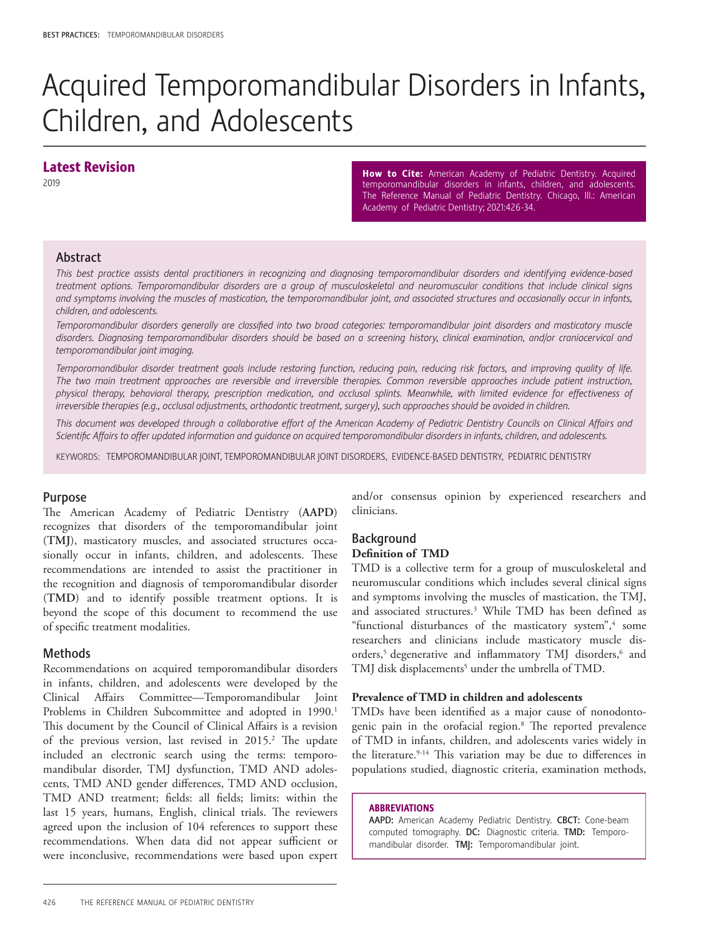# Acquired Temporomandibular Disorders in Infants, Children, and Adolescents

# Latest Revision

2019

How to Cite: American Academy of Pediatric Dentistry. Acquired temporomandibular disorders in infants, children, and adolescents. The Reference Manual of Pediatric Dentistry. Chicago, Ill.: American Academy of Pediatric Dentistry; 2021:426-34.

# Abstract

*This best practice assists dental practitioners in recognizing and diagnosing temporomandibular disorders and identifying evidence-based treatment options. Temporomandibular disorders are a group of musculoskeletal and neuromuscular conditions that include clinical signs and symptoms involving the muscles of mastication, the temporomandibular joint, and associated structures and occasionally occur in infants, children, and adolescents.* 

*Temporomandibular disorders generally are classified into two broad categories: temporomandibular joint disorders and masticatory muscle disorders. Diagnosing temporomandibular disorders should be based on a screening history, clinical examination, and/or craniocervical and temporomandibular joint imaging.* 

*Temporomandibular disorder treatment goals include restoring function, reducing pain, reducing risk factors, and improving quality of life. The two main treatment approaches are reversible and irreversible therapies. Common reversible approaches include patient instruction, physical therapy, behavioral therapy, prescription medication, and occlusal splints. Meanwhile, with limited evidence for effectiveness of irreversible therapies (e.g., occlusal adjustments, orthodontic treatment, surgery), such approaches should be avoided in children.* 

*This document was developed through a collaborative effort of the American Academy of Pediatric Dentistry Councils on Clinical Affairs and Scientific Affairs to offer updated information and guidance on acquired temporomandibular disorders in infants, children, and adolescents.*

KEYWORDS: TEMPOROMANDIBULAR JOINT, TEMPOROMANDIBULAR JOINT DISORDERS, EVIDENCE-BASED DENTISTRY, PEDIATRIC DENTISTRY

# Purpose

The American Academy of Pediatric Dentistry (**AAPD**) recognizes that disorders of the temporomandibular joint (**TMJ**), masticatory muscles, and associated structures occasionally occur in infants, children, and adolescents. These recommendations are intended to assist the practitioner in the recognition and diagnosis of temporomandibular disorder (**TMD**) and to identify possible treatment options. It is beyond the scope of this document to recommend the use of specific treatment modalities.

# Methods

Recommendations on acquired temporomandibular disorders in infants, children, and adolescents were developed by the Clinical Affairs Committee—Temporomandibular Joint Problems in Children Subcommittee and adopted in 1990.<sup>1</sup> This document by the Council of Clinical Affairs is a revision of the previous version, last revised in 2015.<sup>2</sup> The update included an electronic search using the terms: temporomandibular disorder, TMJ dysfunction, TMD AND adolescents, TMD AND gender differences, TMD AND occlusion, TMD AND treatment; fields: all fields; limits: within the last 15 years, humans, English, clinical trials. The reviewers agreed upon the inclusion of 104 references to support these recommendations. When data did not appear sufficient or were inconclusive, recommendations were based upon expert and/or consensus opinion by experienced researchers and clinicians.

# Background

### **Definition of TMD**

TMD is a collective term for a group of musculoskeletal and neuromuscular conditions which includes several clinical signs and symptoms involving the muscles of mastication, the TMJ, and associated structures.3 While TMD has been defined as "functional disturbances of the masticatory system",<sup>4</sup> some researchers and clinicians include masticatory muscle disorders,<sup>5</sup> degenerative and inflammatory TMJ disorders,<sup>6</sup> and TMJ disk displacements<sup>5</sup> under the umbrella of TMD.

#### **Prevalence of TMD in children and adolescents**

TMDs have been identified as a major cause of nonodontogenic pain in the orofacial region.8 The reported prevalence of TMD in infants, children, and adolescents varies widely in the literature.<sup>9-14</sup> This variation may be due to differences in populations studied, diagnostic criteria, examination methods,

#### ABBREVIATIONS

AAPD: American Academy Pediatric Dentistry. CBCT: Cone-beam computed tomography. DC: Diagnostic criteria. TMD: Temporomandibular disorder. TMJ:Temporomandibular joint.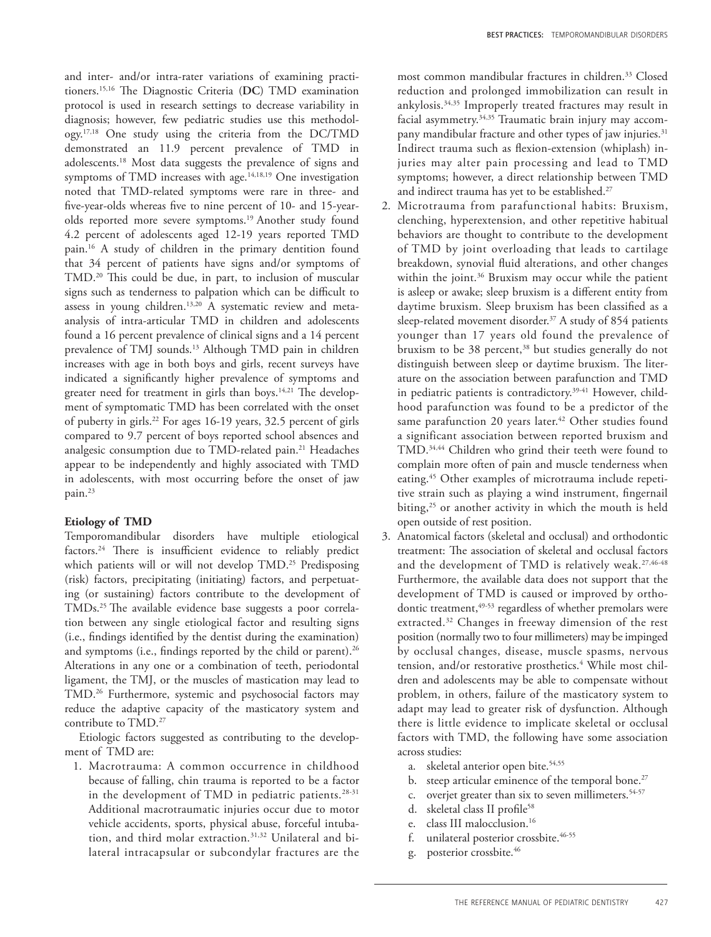and inter- and/or intra-rater variations of examining practitioners.15,16 The Diagnostic Criteria (**DC**) TMD examination protocol is used in research settings to decrease variability in diagnosis; however, few pediatric studies use this methodology.17,18 One study using the criteria from the DC/TMD demonstrated an 11.9 percent prevalence of TMD in adolescents.18 Most data suggests the prevalence of signs and symptoms of TMD increases with age.<sup>14,18,19</sup> One investigation noted that TMD-related symptoms were rare in three- and five-year-olds whereas five to nine percent of 10- and 15-yearolds reported more severe symptoms.19 Another study found 4.2 percent of adolescents aged 12-19 years reported TMD pain.16 A study of children in the primary dentition found that 34 percent of patients have signs and/or symptoms of TMD.20 This could be due, in part, to inclusion of muscular signs such as tenderness to palpation which can be difficult to assess in young children.<sup>13,20</sup> A systematic review and metaanalysis of intra-articular TMD in children and adolescents found a 16 percent prevalence of clinical signs and a 14 percent prevalence of TMJ sounds.<sup>13</sup> Although TMD pain in children increases with age in both boys and girls, recent surveys have indicated a significantly higher prevalence of symptoms and greater need for treatment in girls than boys.<sup>14,21</sup> The development of symptomatic TMD has been correlated with the onset of puberty in girls.<sup>22</sup> For ages 16-19 years, 32.5 percent of girls compared to 9.7 percent of boys reported school absences and analgesic consumption due to TMD-related pain.21 Headaches appear to be independently and highly associated with TMD in adolescents, with most occurring before the onset of jaw pain.23

#### **Etiology of TMD**

Temporomandibular disorders have multiple etiological factors.<sup>24</sup> There is insufficient evidence to reliably predict which patients will or will not develop TMD.<sup>25</sup> Predisposing (risk) factors, precipitating (initiating) factors, and perpetuating (or sustaining) factors contribute to the development of TMDs.<sup>25</sup> The available evidence base suggests a poor correlation between any single etiological factor and resulting signs (i.e., findings identified by the dentist during the examination) and symptoms (i.e., findings reported by the child or parent).<sup>26</sup> Alterations in any one or a combination of teeth, periodontal ligament, the TMJ, or the muscles of mastication may lead to TMD.26 Furthermore, systemic and psychosocial factors may reduce the adaptive capacity of the masticatory system and contribute to TMD.<sup>27</sup>

Etiologic factors suggested as contributing to the development of TMD are:

1. Macrotrauma: A common occurrence in childhood because of falling, chin trauma is reported to be a factor in the development of TMD in pediatric patients.<sup>28-31</sup> Additional macrotraumatic injuries occur due to motor vehicle accidents, sports, physical abuse, forceful intubation, and third molar extraction.31,32 Unilateral and bilateral intracapsular or subcondylar fractures are the

most common mandibular fractures in children.<sup>33</sup> Closed reduction and prolonged immobilization can result in ankylosis.34,35 Improperly treated fractures may result in facial asymmetry.<sup>34,35</sup> Traumatic brain injury may accompany mandibular fracture and other types of jaw injuries.<sup>31</sup> Indirect trauma such as flexion-extension (whiplash) injuries may alter pain processing and lead to TMD symptoms; however, a direct relationship between TMD and indirect trauma has yet to be established.<sup>27</sup>

- 2. Microtrauma from parafunctional habits: Bruxism, clenching, hyperextension, and other repetitive habitual behaviors are thought to contribute to the development of TMD by joint overloading that leads to cartilage breakdown, synovial fluid alterations, and other changes within the joint.<sup>36</sup> Bruxism may occur while the patient is asleep or awake; sleep bruxism is a different entity from daytime bruxism. Sleep bruxism has been classified as a sleep-related movement disorder.<sup>37</sup> A study of 854 patients younger than 17 years old found the prevalence of bruxism to be 38 percent,<sup>38</sup> but studies generally do not distinguish between sleep or daytime bruxism. The literature on the association between parafunction and TMD in pediatric patients is contradictory.<sup>39-41</sup> However, childhood parafunction was found to be a predictor of the same parafunction 20 years later.<sup>42</sup> Other studies found a significant association between reported bruxism and TMD.<sup>34,44</sup> Children who grind their teeth were found to complain more often of pain and muscle tenderness when eating.<sup>45</sup> Other examples of microtrauma include repetitive strain such as playing a wind instrument, fingernail biting, $25$  or another activity in which the mouth is held open outside of rest position.
- 3. Anatomical factors (skeletal and occlusal) and orthodontic treatment: The association of skeletal and occlusal factors and the development of TMD is relatively weak.<sup>27,46-48</sup> Furthermore, the available data does not support that the development of TMD is caused or improved by orthodontic treatment,<sup>49-53</sup> regardless of whether premolars were extracted.<sup>32</sup> Changes in freeway dimension of the rest position (normally two to four millimeters) may be impinged by occlusal changes, disease, muscle spasms, nervous tension, and/or restorative prosthetics.<sup>4</sup> While most children and adolescents may be able to compensate without problem, in others, failure of the masticatory system to adapt may lead to greater risk of dysfunction. Although there is little evidence to implicate skeletal or occlusal factors with TMD, the following have some association across studies:
	- a. skeletal anterior open bite.<sup>54,55</sup>
	- b. steep articular eminence of the temporal bone.<sup>27</sup>
	- c. overjet greater than six to seven millimeters.<sup>54-57</sup>
	- d. skeletal class II profile<sup>58</sup>
	- e. class III malocclusion.16
	- f. unilateral posterior crossbite.<sup>46-55</sup>
	- g. posterior crossbite.46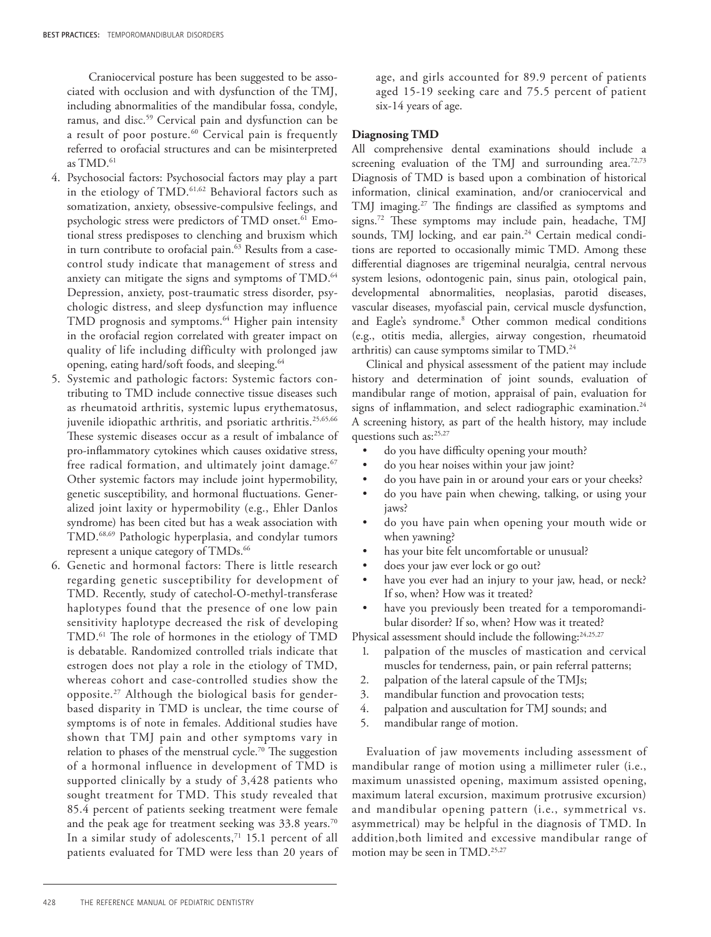Craniocervical posture has been suggested to be associated with occlusion and with dysfunction of the TMJ, including abnormalities of the mandibular fossa, condyle, ramus, and disc.59 Cervical pain and dysfunction can be a result of poor posture.<sup>60</sup> Cervical pain is frequently referred to orofacial structures and can be misinterpreted as TMD.<sup>61</sup>

- 4. Psychosocial factors: Psychosocial factors may play a part in the etiology of TMD.<sup>61,62</sup> Behavioral factors such as somatization, anxiety, obsessive-compulsive feelings, and psychologic stress were predictors of TMD onset.<sup>61</sup> Emotional stress predisposes to clenching and bruxism which in turn contribute to orofacial pain.<sup>63</sup> Results from a casecontrol study indicate that management of stress and anxiety can mitigate the signs and symptoms of TMD.<sup>64</sup> Depression, anxiety, post-traumatic stress disorder, psychologic distress, and sleep dysfunction may influence TMD prognosis and symptoms.<sup>64</sup> Higher pain intensity in the orofacial region correlated with greater impact on quality of life including difficulty with prolonged jaw opening, eating hard/soft foods, and sleeping.64
- 5. Systemic and pathologic factors: Systemic factors contributing to TMD include connective tissue diseases such as rheumatoid arthritis, systemic lupus erythematosus, juvenile idiopathic arthritis, and psoriatic arthritis.<sup>25,65,66</sup> These systemic diseases occur as a result of imbalance of pro-inflammatory cytokines which causes oxidative stress, free radical formation, and ultimately joint damage.<sup>67</sup> Other systemic factors may include joint hypermobility, genetic susceptibility, and hormonal fluctuations. Generalized joint laxity or hypermobility (e.g., Ehler Danlos syndrome) has been cited but has a weak association with TMD.68,69 Pathologic hyperplasia, and condylar tumors represent a unique category of TMDs.<sup>66</sup>
- 6. Genetic and hormonal factors: There is little research regarding genetic susceptibility for development of TMD. Recently, study of catechol-O-methyl-transferase haplotypes found that the presence of one low pain sensitivity haplotype decreased the risk of developing TMD.61 The role of hormones in the etiology of TMD is debatable. Randomized controlled trials indicate that estrogen does not play a role in the etiology of TMD, whereas cohort and case-controlled studies show the opposite.27 Although the biological basis for genderbased disparity in TMD is unclear, the time course of symptoms is of note in females. Additional studies have shown that TMJ pain and other symptoms vary in relation to phases of the menstrual cycle.<sup>70</sup> The suggestion of a hormonal influence in development of TMD is supported clinically by a study of 3,428 patients who sought treatment for TMD. This study revealed that 85.4 percent of patients seeking treatment were female and the peak age for treatment seeking was 33.8 years.<sup>70</sup> In a similar study of adolescents, $71$  15.1 percent of all patients evaluated for TMD were less than 20 years of

age, and girls accounted for 89.9 percent of patients aged 15-19 seeking care and 75.5 percent of patient six-14 years of age.

#### **Diagnosing TMD**

All comprehensive dental examinations should include a screening evaluation of the TMJ and surrounding area.<sup>72,73</sup> Diagnosis of TMD is based upon a combination of historical information, clinical examination, and/or craniocervical and TMJ imaging.27 The findings are classified as symptoms and signs.72 These symptoms may include pain, headache, TMJ sounds, TMJ locking, and ear pain.<sup>24</sup> Certain medical conditions are reported to occasionally mimic TMD. Among these differential diagnoses are trigeminal neuralgia, central nervous system lesions, odontogenic pain, sinus pain, otological pain, developmental abnormalities, neoplasias, parotid diseases, vascular diseases, myofascial pain, cervical muscle dysfunction, and Eagle's syndrome.8 Other common medical conditions (e.g., otitis media, allergies, airway congestion, rheumatoid arthritis) can cause symptoms similar to TMD.<sup>24</sup>

Clinical and physical assessment of the patient may include history and determination of joint sounds, evaluation of mandibular range of motion, appraisal of pain, evaluation for signs of inflammation, and select radiographic examination.<sup>24</sup> A screening history, as part of the health history, may include questions such as:<sup>25,27</sup>

- do you have difficulty opening your mouth?
- do you hear noises within your jaw joint?
- do you have pain in or around your ears or your cheeks?
- do you have pain when chewing, talking, or using your jaws?
- do you have pain when opening your mouth wide or when yawning?
- has your bite felt uncomfortable or unusual?
- does your jaw ever lock or go out?
- have you ever had an injury to your jaw, head, or neck? If so, when? How was it treated?
- have you previously been treated for a temporomandibular disorder? If so, when? How was it treated?

Physical assessment should include the following:<sup>24,25,27</sup>

- 1. palpation of the muscles of mastication and cervical muscles for tenderness, pain, or pain referral patterns;
- 2. palpation of the lateral capsule of the TMJs;
- 3. mandibular function and provocation tests;
- 4. palpation and auscultation for TMJ sounds; and
- 5. mandibular range of motion.

Evaluation of jaw movements including assessment of mandibular range of motion using a millimeter ruler (i.e., maximum unassisted opening, maximum assisted opening, maximum lateral excursion, maximum protrusive excursion) and mandibular opening pattern (i.e., symmetrical vs. asymmetrical) may be helpful in the diagnosis of TMD. In addition,both limited and excessive mandibular range of motion may be seen in TMD.<sup>25,27</sup>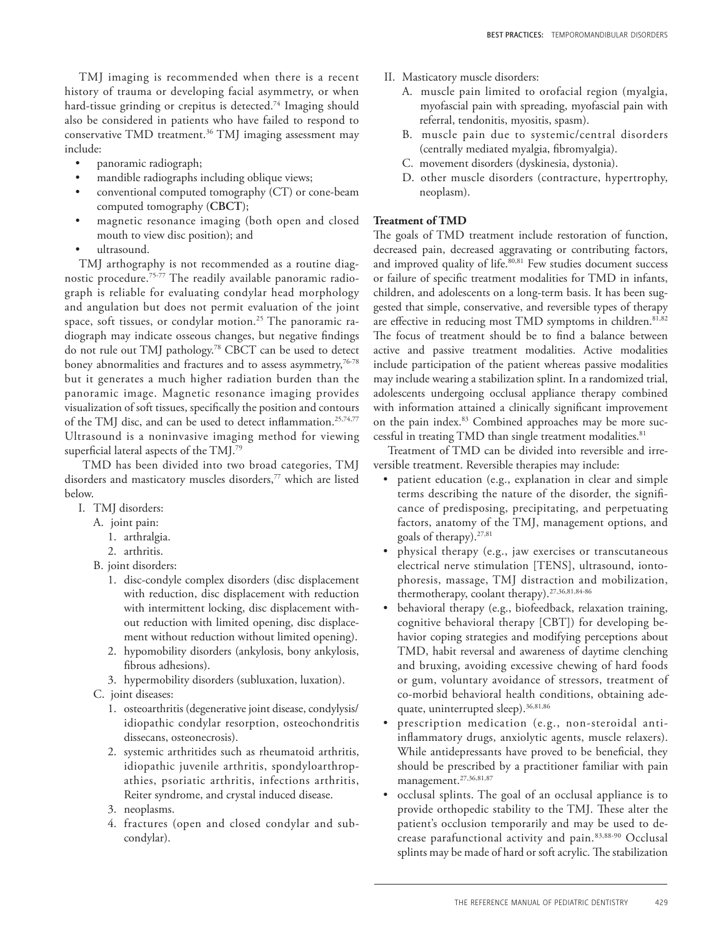TMJ imaging is recommended when there is a recent history of trauma or developing facial asymmetry, or when hard-tissue grinding or crepitus is detected.<sup>74</sup> Imaging should also be considered in patients who have failed to respond to conservative TMD treatment.36 TMJ imaging assessment may include:

- panoramic radiograph;
- mandible radiographs including oblique views;
- conventional computed tomography (CT) or cone-beam computed tomography (**CBCT**);
- magnetic resonance imaging (both open and closed mouth to view disc position); and
- ultrasound.

TMJ arthography is not recommended as a routine diagnostic procedure.75-77 The readily available panoramic radiograph is reliable for evaluating condylar head morphology and angulation but does not permit evaluation of the joint space, soft tissues, or condylar motion.25 The panoramic radiograph may indicate osseous changes, but negative findings do not rule out TMJ pathology.<sup>78</sup> CBCT can be used to detect boney abnormalities and fractures and to assess asymmetry,<sup>76-78</sup> but it generates a much higher radiation burden than the panoramic image. Magnetic resonance imaging provides visualization of soft tissues, specifically the position and contours of the TMJ disc, and can be used to detect inflammation.25,74,77 Ultrasound is a noninvasive imaging method for viewing superficial lateral aspects of the TMJ.79

 TMD has been divided into two broad categories, TMJ disorders and masticatory muscles disorders,<sup>77</sup> which are listed below.

- I. TMJ disorders:
	- A. joint pain:
		- 1. arthralgia.
		- 2. arthritis.
	- B. joint disorders:
		- 1. disc-condyle complex disorders (disc displacement with reduction, disc displacement with reduction with intermittent locking, disc displacement without reduction with limited opening, disc displacement without reduction without limited opening).
		- 2. hypomobility disorders (ankylosis, bony ankylosis, fibrous adhesions).
		- 3. hypermobility disorders (subluxation, luxation).
	- C. joint diseases:
		- 1. osteoarthritis (degenerative joint disease, condylysis/ idiopathic condylar resorption, osteochondritis dissecans, osteonecrosis).
		- 2. systemic arthritides such as rheumatoid arthritis, idiopathic juvenile arthritis, spondyloarthropathies, psoriatic arthritis, infections arthritis, Reiter syndrome, and crystal induced disease.
		- 3. neoplasms.
		- 4. fractures (open and closed condylar and subcondylar).
- II. Masticatory muscle disorders:
	- A. muscle pain limited to orofacial region (myalgia, myofascial pain with spreading, myofascial pain with referral, tendonitis, myositis, spasm).
	- B. muscle pain due to systemic/central disorders (centrally mediated myalgia, fibromyalgia).
	- C. movement disorders (dyskinesia, dystonia).
	- D. other muscle disorders (contracture, hypertrophy, neoplasm).

#### **Treatment of TMD**

The goals of TMD treatment include restoration of function, decreased pain, decreased aggravating or contributing factors, and improved quality of life.<sup>80,81</sup> Few studies document success or failure of specific treatment modalities for TMD in infants, children, and adolescents on a long-term basis. It has been suggested that simple, conservative, and reversible types of therapy are effective in reducing most TMD symptoms in children.<sup>81,82</sup> The focus of treatment should be to find a balance between active and passive treatment modalities. Active modalities include participation of the patient whereas passive modalities may include wearing a stabilization splint. In a randomized trial, adolescents undergoing occlusal appliance therapy combined with information attained a clinically significant improvement on the pain index.<sup>83</sup> Combined approaches may be more successful in treating TMD than single treatment modalities.<sup>81</sup>

Treatment of TMD can be divided into reversible and irreversible treatment. Reversible therapies may include:

- patient education (e.g., explanation in clear and simple terms describing the nature of the disorder, the significance of predisposing, precipitating, and perpetuating factors, anatomy of the TMJ, management options, and goals of therapy).<sup>27,81</sup>
- physical therapy (e.g., jaw exercises or transcutaneous electrical nerve stimulation [TENS], ultrasound, iontophoresis, massage, TMJ distraction and mobilization, thermotherapy, coolant therapy).27,36,81,84-86
- behavioral therapy (e.g., biofeedback, relaxation training, cognitive behavioral therapy [CBT]) for developing behavior coping strategies and modifying perceptions about TMD, habit reversal and awareness of daytime clenching and bruxing, avoiding excessive chewing of hard foods or gum, voluntary avoidance of stressors, treatment of co-morbid behavioral health conditions, obtaining adequate, uninterrupted sleep). 36,81,86
- prescription medication (e.g., non-steroidal antiinflammatory drugs, anxiolytic agents, muscle relaxers). While antidepressants have proved to be beneficial, they should be prescribed by a practitioner familiar with pain management.27,36,81,87
- occlusal splints. The goal of an occlusal appliance is to provide orthopedic stability to the TMJ. These alter the patient's occlusion temporarily and may be used to decrease parafunctional activity and pain.83,88-90 Occlusal splints may be made of hard or soft acrylic. The stabilization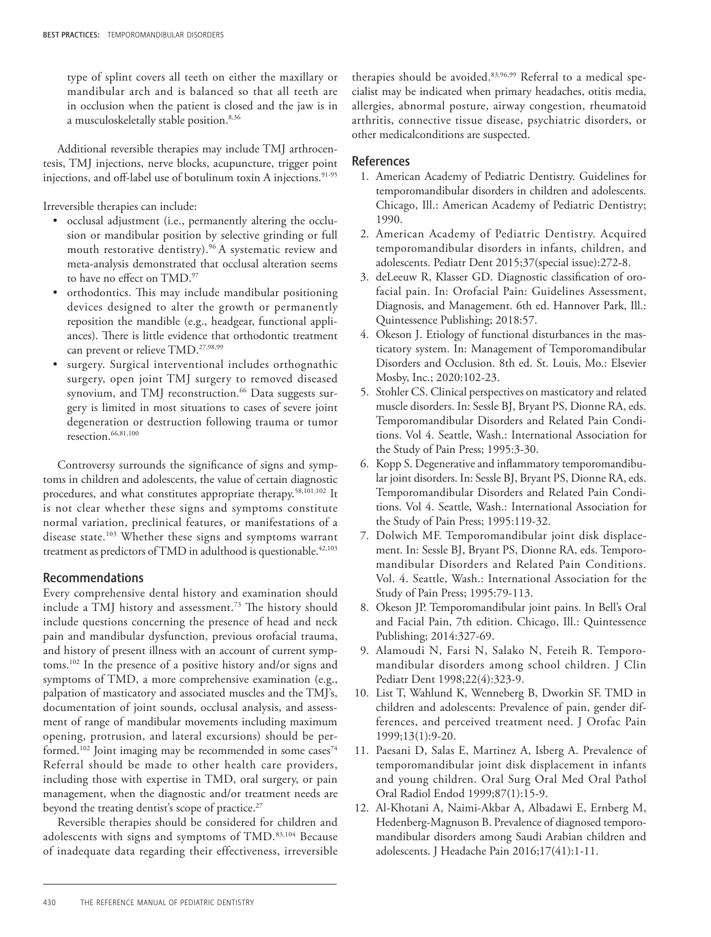type of splint covers all teeth on either the maxillary or mandibular arch and is balanced so that all teeth are in occlusion when the patient is closed and the jaw is in a musculoskeletally stable position.<sup>8,36</sup>

Additional reversible therapies may include TMJ arthrocentesis, TMJ injections, nerve blocks, acupuncture, trigger point injections, and off-label use of botulinum toxin A injections.<sup>91-95</sup>

Irreversible therapies can include:

- occlusal adjustment (i.e., permanently altering the occlusion or mandibular position by selective grinding or full mouth restorative dentistry).<sup>96</sup> A systematic review and meta-analysis demonstrated that occlusal alteration seems to have no effect on TMD.97
- orthodontics. This may include mandibular positioning devices designed to alter the growth or permanently reposition the mandible (e.g., headgear, functional appliances). There is little evidence that orthodontic treatment can prevent or relieve TMD.<sup>27,98,99</sup>
- surgery. Surgical interventional includes orthognathic surgery, open joint TMJ surgery to removed diseased synovium, and TMJ reconstruction.<sup>66</sup> Data suggests surgery is limited in most situations to cases of severe joint degeneration or destruction following trauma or tumor resection.66,81,100

Controversy surrounds the significance of signs and symptoms in children and adolescents, the value of certain diagnostic procedures, and what constitutes appropriate therapy.58,101,102 It is not clear whether these signs and symptoms constitute normal variation, preclinical features, or manifestations of a disease state.103 Whether these signs and symptoms warrant treatment as predictors of TMD in adulthood is questionable.<sup>42,103</sup>

# Recommendations

Every comprehensive dental history and examination should include a TMJ history and assessment.73 The history should include questions concerning the presence of head and neck pain and mandibular dysfunction, previous orofacial trauma, and history of present illness with an account of current symptoms.102 In the presence of a positive history and/or signs and symptoms of TMD, a more comprehensive examination (e.g., palpation of masticatory and associated muscles and the TMJ's, documentation of joint sounds, occlusal analysis, and assessment of range of mandibular movements including maximum opening, protrusion, and lateral excursions) should be performed.<sup>102</sup> Joint imaging may be recommended in some cases<sup>74</sup> Referral should be made to other health care providers, including those with expertise in TMD, oral surgery, or pain management, when the diagnostic and/or treatment needs are beyond the treating dentist's scope of practice.<sup>27</sup>

Reversible therapies should be considered for children and adolescents with signs and symptoms of TMD.83,104 Because of inadequate data regarding their effectiveness, irreversible

therapies should be avoided.83,96,99 Referral to a medical specialist may be indicated when primary headaches, otitis media, allergies, abnormal posture, airway congestion, rheumatoid arthritis, connective tissue disease, psychiatric disorders, or other medicalconditions are suspected.

#### References

- 1. American Academy of Pediatric Dentistry. Guidelines for temporomandibular disorders in children and adolescents. Chicago, Ill.: American Academy of Pediatric Dentistry; 1990.
- 2. American Academy of Pediatric Dentistry. Acquired temporomandibular disorders in infants, children, and adolescents. Pediatr Dent 2015;37(special issue):272-8.
- 3. deLeeuw R, Klasser GD. Diagnostic classification of orofacial pain. In: Orofacial Pain: Guidelines Assessment, Diagnosis, and Management. 6th ed. Hannover Park, Ill.: Quintessence Publishing; 2018:57.
- 4. Okeson J. Etiology of functional disturbances in the masticatory system. In: Management of Temporomandibular Disorders and Occlusion. 8th ed. St. Louis, Mo.: Elsevier Mosby, Inc.; 2020:102-23.
- 5. Stohler CS. Clinical perspectives on masticatory and related muscle disorders. In: Sessle BJ, Bryant PS, Dionne RA, eds. Temporomandibular Disorders and Related Pain Conditions. Vol 4. Seattle, Wash.: International Association for the Study of Pain Press; 1995:3-30.
- 6. Kopp S. Degenerative and inflammatory temporomandibular joint disorders. In: Sessle BJ, Bryant PS, Dionne RA, eds. Temporomandibular Disorders and Related Pain Conditions. Vol 4. Seattle, Wash.: International Association for the Study of Pain Press; 1995:119-32.
- 7. Dolwich MF. Temporomandibular joint disk displacement. In: Sessle BJ, Bryant PS, Dionne RA, eds. Temporomandibular Disorders and Related Pain Conditions. Vol. 4. Seattle, Wash.: International Association for the Study of Pain Press; 1995:79-113.
- 8. Okeson JP. Temporomandibular joint pains. In Bell's Oral and Facial Pain, 7th edition. Chicago, Ill.: Quintessence Publishing; 2014:327-69.
- 9. Alamoudi N, Farsi N, Salako N, Feteih R. Temporomandibular disorders among school children. J Clin Pediatr Dent 1998;22(4):323-9.
- 10. List T, Wahlund K, Wenneberg B, Dworkin SF. TMD in children and adolescents: Prevalence of pain, gender differences, and perceived treatment need. J Orofac Pain 1999;13(1):9-20.
- 11. Paesani D, Salas E, Martinez A, Isberg A. Prevalence of temporomandibular joint disk displacement in infants and young children. Oral Surg Oral Med Oral Pathol Oral Radiol Endod 1999;87(1):15-9.
- 12. Al-Khotani A, Naimi-Akbar A, Albadawi E, Ernberg M, Hedenberg-Magnuson B. Prevalence of diagnosed temporomandibular disorders among Saudi Arabian children and adolescents. J Headache Pain 2016;17(41):1-11.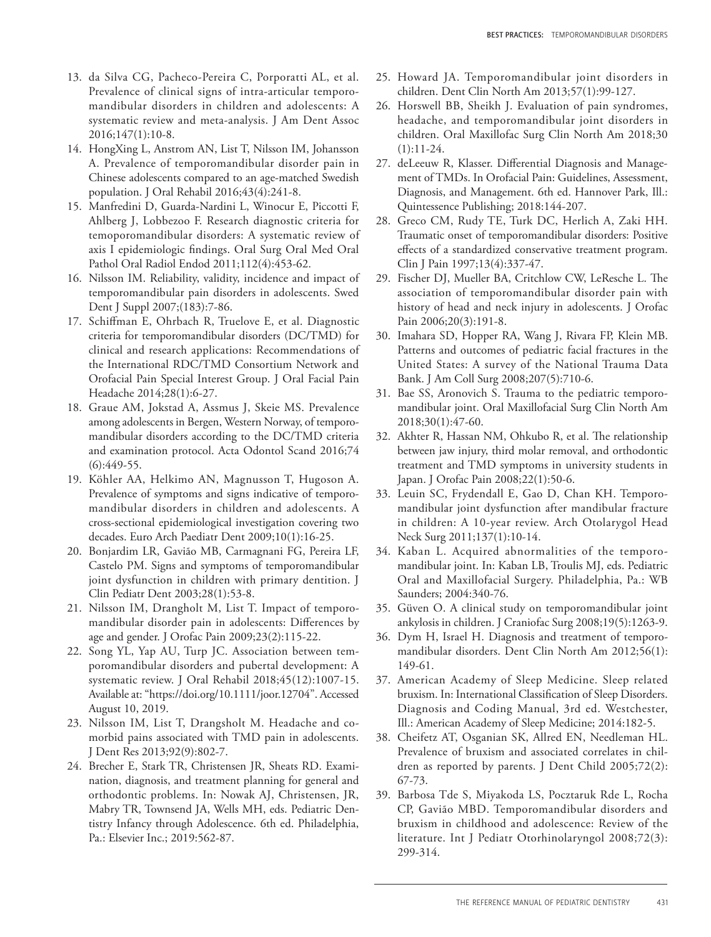- 13. da Silva CG, Pacheco-Pereira C, Porporatti AL, et al. Prevalence of clinical signs of intra-articular temporomandibular disorders in children and adolescents: A systematic review and meta-analysis. J Am Dent Assoc 2016;147(1):10-8.
- 14. HongXing L, Anstrom AN, List T, Nilsson IM, Johansson A. Prevalence of temporomandibular disorder pain in Chinese adolescents compared to an age-matched Swedish population. J Oral Rehabil 2016;43(4):241-8.
- 15. Manfredini D, Guarda-Nardini L, Winocur E, Piccotti F, Ahlberg J, Lobbezoo F. Research diagnostic criteria for temoporomandibular disorders: A systematic review of axis I epidemiologic findings. Oral Surg Oral Med Oral Pathol Oral Radiol Endod 2011;112(4):453-62.
- 16. Nilsson IM. Reliability, validity, incidence and impact of temporomandibular pain disorders in adolescents. Swed Dent J Suppl 2007;(183):7-86.
- 17. Schiffman E, Ohrbach R, Truelove E, et al. Diagnostic criteria for temporomandibular disorders (DC/TMD) for clinical and research applications: Recommendations of the International RDC/TMD Consortium Network and Orofacial Pain Special Interest Group. J Oral Facial Pain Headache 2014;28(1):6-27.
- 18. Graue AM, Jokstad A, Assmus J, Skeie MS. Prevalence among adolescents in Bergen, Western Norway, of temporomandibular disorders according to the DC/TMD criteria and examination protocol. Acta Odontol Scand 2016;74  $(6):449-55.$
- 19. Köhler AA, Helkimo AN, Magnusson T, Hugoson A. Prevalence of symptoms and signs indicative of temporomandibular disorders in children and adolescents. A cross-sectional epidemiological investigation covering two decades. Euro Arch Paediatr Dent 2009;10(1):16-25.
- 20. Bonjardim LR, Gavião MB, Carmagnani FG, Pereira LF, Castelo PM. Signs and symptoms of temporomandibular joint dysfunction in children with primary dentition. J Clin Pediatr Dent 2003;28(1):53-8.
- 21. Nilsson IM, Drangholt M, List T. Impact of temporomandibular disorder pain in adolescents: Differences by age and gender. J Orofac Pain 2009;23(2):115-22.
- 22. Song YL, Yap AU, Turp JC. Association between temporomandibular disorders and pubertal development: A systematic review. J Oral Rehabil 2018;45(12):1007-15. Available at: "https://doi.org/10.1111/joor.12704". Accessed August 10, 2019.
- 23. Nilsson IM, List T, Drangsholt M. Headache and comorbid pains associated with TMD pain in adolescents. J Dent Res 2013;92(9):802-7.
- 24. Brecher E, Stark TR, Christensen JR, Sheats RD. Examination, diagnosis, and treatment planning for general and orthodontic problems. In: Nowak AJ, Christensen, JR, Mabry TR, Townsend JA, Wells MH, eds. Pediatric Dentistry Infancy through Adolescence. 6th ed. Philadelphia, Pa.: Elsevier Inc.; 2019:562-87.
- 25. Howard JA. Temporomandibular joint disorders in children. Dent Clin North Am 2013;57(1):99-127.
- 26. Horswell BB, Sheikh J. Evaluation of pain syndromes, headache, and temporomandibular joint disorders in children. Oral Maxillofac Surg Clin North Am 2018;30  $(1):11-24.$
- 27. deLeeuw R, Klasser. Differential Diagnosis and Management of TMDs. In Orofacial Pain: Guidelines, Assessment, Diagnosis, and Management. 6th ed. Hannover Park, Ill.: Quintessence Publishing; 2018:144-207.
- 28. Greco CM, Rudy TE, Turk DC, Herlich A, Zaki HH. Traumatic onset of temporomandibular disorders: Positive effects of a standardized conservative treatment program. Clin J Pain 1997;13(4):337-47.
- 29. Fischer DJ, Mueller BA, Critchlow CW, LeResche L. The association of temporomandibular disorder pain with history of head and neck injury in adolescents. J Orofac Pain 2006;20(3):191-8.
- 30. Imahara SD, Hopper RA, Wang J, Rivara FP, Klein MB. Patterns and outcomes of pediatric facial fractures in the United States: A survey of the National Trauma Data Bank. J Am Coll Surg 2008;207(5):710-6.
- 31. Bae SS, Aronovich S. Trauma to the pediatric temporomandibular joint. Oral Maxillofacial Surg Clin North Am 2018;30(1):47-60.
- 32. Akhter R, Hassan NM, Ohkubo R, et al. The relationship between jaw injury, third molar removal, and orthodontic treatment and TMD symptoms in university students in Japan. J Orofac Pain 2008;22(1):50-6.
- 33. Leuin SC, Frydendall E, Gao D, Chan KH. Temporomandibular joint dysfunction after mandibular fracture in children: A 10-year review. Arch Otolarygol Head Neck Surg 2011;137(1):10-14.
- 34. Kaban L. Acquired abnormalities of the temporomandibular joint. In: Kaban LB, Troulis MJ, eds. Pediatric Oral and Maxillofacial Surgery. Philadelphia, Pa.: WB Saunders; 2004:340-76.
- 35. Güven O. A clinical study on temporomandibular joint ankylosis in children. J Craniofac Surg 2008;19(5):1263-9.
- 36. Dym H, Israel H. Diagnosis and treatment of temporomandibular disorders. Dent Clin North Am 2012;56(1): 149-61.
- 37. American Academy of Sleep Medicine. Sleep related bruxism. In: International Classification of Sleep Disorders. Diagnosis and Coding Manual, 3rd ed. Westchester, Ill.: American Academy of Sleep Medicine; 2014:182-5.
- 38. Cheifetz AT, Osganian SK, Allred EN, Needleman HL. Prevalence of bruxism and associated correlates in children as reported by parents. J Dent Child 2005;72(2): 67-73.
- 39. Barbosa Tde S, Miyakoda LS, Pocztaruk Rde L, Rocha CP, Gavião MBD. Temporomandibular disorders and bruxism in childhood and adolescence: Review of the literature. Int J Pediatr Otorhinolaryngol 2008;72(3): 299-314.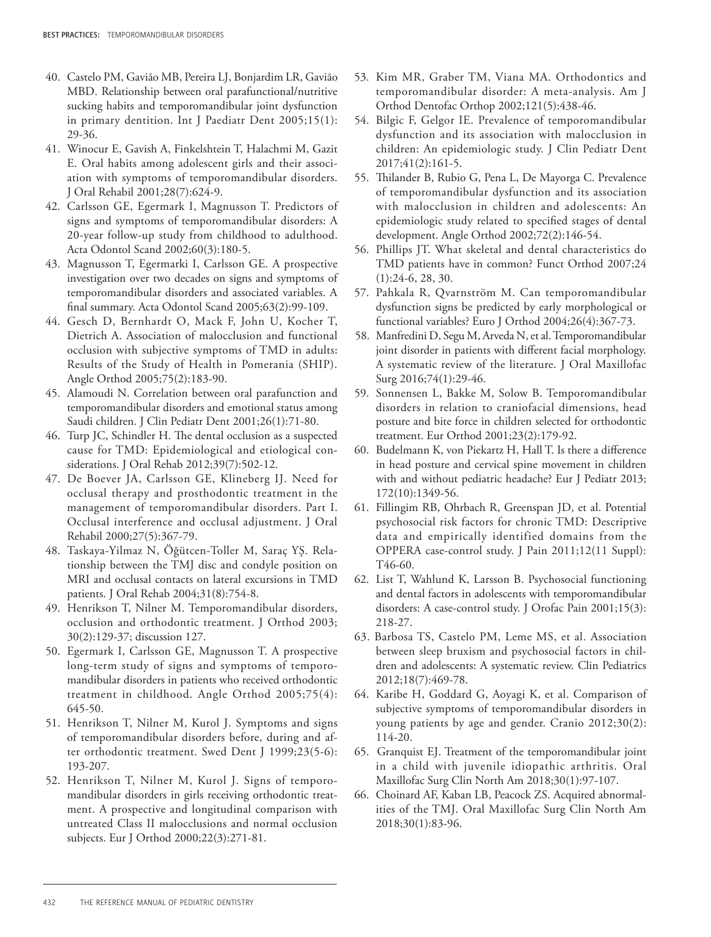- 40. Castelo PM, Gavião MB, Pereira LJ, Bonjardim LR, Gavião MBD. Relationship between oral parafunctional/nutritive sucking habits and temporomandibular joint dysfunction in primary dentition. Int J Paediatr Dent 2005;15(1): 29-36.
- 41. Winocur E, Gavish A, Finkelshtein T, Halachmi M, Gazit E. Oral habits among adolescent girls and their association with symptoms of temporomandibular disorders. J Oral Rehabil 2001;28(7):624-9.
- 42. Carlsson GE, Egermark I, Magnusson T. Predictors of signs and symptoms of temporomandibular disorders: A 20-year follow-up study from childhood to adulthood. Acta Odontol Scand 2002;60(3):180-5.
- 43. Magnusson T, Egermarki I, Carlsson GE. A prospective investigation over two decades on signs and symptoms of temporomandibular disorders and associated variables. A final summary. Acta Odontol Scand 2005;63(2):99-109.
- 44. Gesch D, Bernhardt O, Mack F, John U, Kocher T, Dietrich A. Association of malocclusion and functional occlusion with subjective symptoms of TMD in adults: Results of the Study of Health in Pomerania (SHIP). Angle Orthod 2005;75(2):183-90.
- 45. Alamoudi N. Correlation between oral parafunction and temporomandibular disorders and emotional status among Saudi children. J Clin Pediatr Dent 2001;26(1):71-80.
- 46. Turp JC, Schindler H. The dental occlusion as a suspected cause for TMD: Epidemiological and etiological considerations. J Oral Rehab 2012;39(7):502-12.
- 47. De Boever JA, Carlsson GE, Klineberg IJ. Need for occlusal therapy and prosthodontic treatment in the management of temporomandibular disorders. Part I. Occlusal interference and occlusal adjustment. J Oral Rehabil 2000;27(5):367-79.
- 48. Taskaya-Yilmaz N, Öğütcen-Toller M, Saraç YŞ. Relationship between the TMJ disc and condyle position on MRI and occlusal contacts on lateral excursions in TMD patients. J Oral Rehab 2004;31(8):754-8.
- 49. Henrikson T, Nilner M. Temporomandibular disorders, occlusion and orthodontic treatment. J Orthod 2003; 30(2):129-37; discussion 127.
- 50. Egermark I, Carlsson GE, Magnusson T. A prospective long-term study of signs and symptoms of temporomandibular disorders in patients who received orthodontic treatment in childhood. Angle Orthod 2005;75(4): 645-50.
- 51. Henrikson T, Nilner M, Kurol J. Symptoms and signs of temporomandibular disorders before, during and after orthodontic treatment. Swed Dent J 1999;23(5-6): 193-207.
- 52. Henrikson T, Nilner M, Kurol J. Signs of temporomandibular disorders in girls receiving orthodontic treatment. A prospective and longitudinal comparison with untreated Class II malocclusions and normal occlusion subjects. Eur J Orthod 2000;22(3):271-81.
- 53. Kim MR, Graber TM, Viana MA. Orthodontics and temporomandibular disorder: A meta-analysis. Am J Orthod Dentofac Orthop 2002;121(5):438-46.
- 54. Bilgic F, Gelgor IE. Prevalence of temporomandibular dysfunction and its association with malocclusion in children: An epidemiologic study. J Clin Pediatr Dent 2017;41(2):161-5.
- 55. Thilander B, Rubio G, Pena L, De Mayorga C. Prevalence of temporomandibular dysfunction and its association with malocclusion in children and adolescents: An epidemiologic study related to specified stages of dental development. Angle Orthod 2002;72(2):146-54.
- 56. Phillips JT. What skeletal and dental characteristics do TMD patients have in common? Funct Orthod 2007;24 (1):24-6, 28, 30.
- 57. Pahkala R, Qvarnström M. Can temporomandibular dysfunction signs be predicted by early morphological or functional variables? Euro J Orthod 2004;26(4):367-73.
- 58. Manfredini D, Segu M, Arveda N, et al. Temporomandibular joint disorder in patients with different facial morphology. A systematic review of the literature. J Oral Maxillofac Surg 2016;74(1):29-46.
- 59. Sonnensen L, Bakke M, Solow B. Temporomandibular disorders in relation to craniofacial dimensions, head posture and bite force in children selected for orthodontic treatment. Eur Orthod 2001;23(2):179-92.
- 60. Budelmann K, von Piekartz H, Hall T. Is there a difference in head posture and cervical spine movement in children with and without pediatric headache? Eur J Pediatr 2013; 172(10):1349-56.
- 61. Fillingim RB, Ohrbach R, Greenspan JD, et al. Potential psychosocial risk factors for chronic TMD: Descriptive data and empirically identified domains from the OPPERA case-control study. J Pain 2011;12(11 Suppl): T46-60.
- 62. List T, Wahlund K, Larsson B. Psychosocial functioning and dental factors in adolescents with temporomandibular disorders: A case-control study. J Orofac Pain 2001;15(3): 218-27.
- 63. Barbosa TS, Castelo PM, Leme MS, et al. Association between sleep bruxism and psychosocial factors in children and adolescents: A systematic review. Clin Pediatrics 2012;18(7):469-78.
- 64. Karibe H, Goddard G, Aoyagi K, et al. Comparison of subjective symptoms of temporomandibular disorders in young patients by age and gender. Cranio 2012;30(2): 114-20.
- 65. Granquist EJ. Treatment of the temporomandibular joint in a child with juvenile idiopathic arthritis. Oral Maxillofac Surg Clin North Am 2018;30(1):97-107.
- 66. Choinard AF, Kaban LB, Peacock ZS. Acquired abnormalities of the TMJ. Oral Maxillofac Surg Clin North Am 2018;30(1):83-96.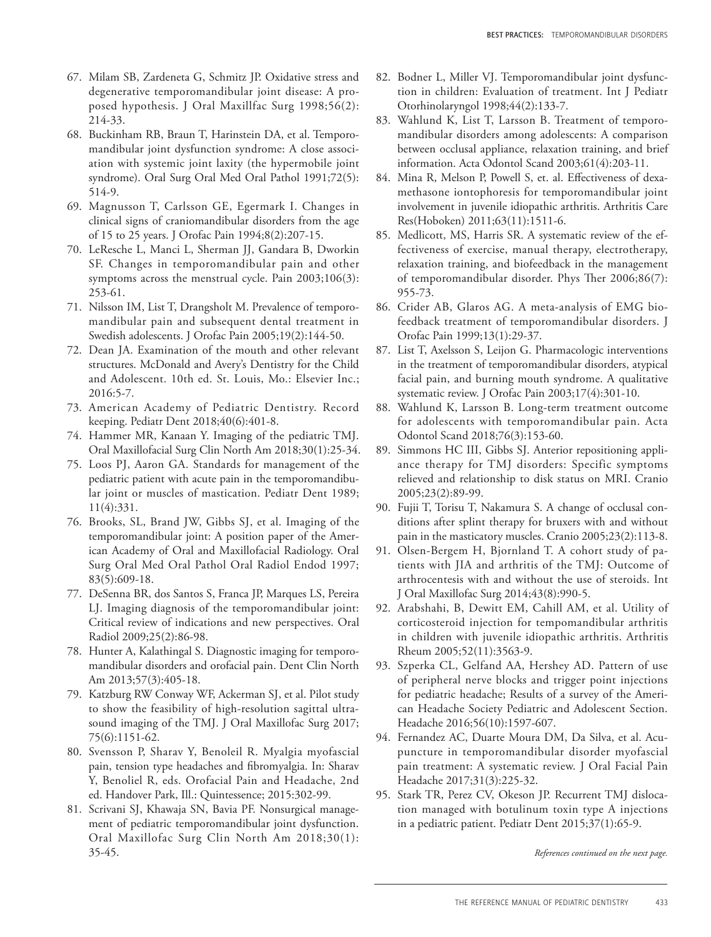- 67. Milam SB, Zardeneta G, Schmitz JP. Oxidative stress and degenerative temporomandibular joint disease: A proposed hypothesis. J Oral Maxillfac Surg 1998;56(2): 214-33.
- 68. Buckinham RB, Braun T, Harinstein DA, et al. Temporomandibular joint dysfunction syndrome: A close association with systemic joint laxity (the hypermobile joint syndrome). Oral Surg Oral Med Oral Pathol 1991;72(5): 514-9.
- 69. Magnusson T, Carlsson GE, Egermark I. Changes in clinical signs of craniomandibular disorders from the age of 15 to 25 years. J Orofac Pain 1994;8(2):207-15.
- 70. LeResche L, Manci L, Sherman JJ, Gandara B, Dworkin SF. Changes in temporomandibular pain and other symptoms across the menstrual cycle. Pain 2003;106(3): 253-61.
- 71. Nilsson IM, List T, Drangsholt M. Prevalence of temporomandibular pain and subsequent dental treatment in Swedish adolescents. J Orofac Pain 2005;19(2):144-50.
- 72. Dean JA. Examination of the mouth and other relevant structures. McDonald and Avery's Dentistry for the Child and Adolescent. 10th ed. St. Louis, Mo.: Elsevier Inc.; 2016:5-7.
- 73. American Academy of Pediatric Dentistry. Record keeping. Pediatr Dent 2018;40(6):401-8.
- 74. Hammer MR, Kanaan Y. Imaging of the pediatric TMJ. Oral Maxillofacial Surg Clin North Am 2018;30(1):25-34.
- 75. Loos PJ, Aaron GA. Standards for management of the pediatric patient with acute pain in the temporomandibular joint or muscles of mastication. Pediatr Dent 1989; 11(4):331.
- 76. Brooks, SL, Brand JW, Gibbs SJ, et al. Imaging of the temporomandibular joint: A position paper of the American Academy of Oral and Maxillofacial Radiology. Oral Surg Oral Med Oral Pathol Oral Radiol Endod 1997; 83(5):609-18.
- 77. DeSenna BR, dos Santos S, Franca JP, Marques LS, Pereira LJ. Imaging diagnosis of the temporomandibular joint: Critical review of indications and new perspectives. Oral Radiol 2009;25(2):86-98.
- 78. Hunter A, Kalathingal S. Diagnostic imaging for temporomandibular disorders and orofacial pain. Dent Clin North Am 2013;57(3):405-18.
- 79. Katzburg RW Conway WF, Ackerman SJ, et al. Pilot study to show the feasibility of high-resolution sagittal ultrasound imaging of the TMJ. J Oral Maxillofac Surg 2017; 75(6):1151-62.
- 80. Svensson P, Sharav Y, Benoleil R. Myalgia myofascial pain, tension type headaches and fibromyalgia. In: Sharav Y, Benoliel R, eds. Orofacial Pain and Headache, 2nd ed. Handover Park, Ill.: Quintessence; 2015:302-99.
- 81. Scrivani SJ, Khawaja SN, Bavia PF. Nonsurgical management of pediatric temporomandibular joint dysfunction. Oral Maxillofac Surg Clin North Am 2018;30(1): 35-45.
- 82. Bodner L, Miller VJ. Temporomandibular joint dysfunction in children: Evaluation of treatment. Int J Pediatr Otorhinolaryngol 1998;44(2):133-7.
- 83. Wahlund K, List T, Larsson B. Treatment of temporomandibular disorders among adolescents: A comparison between occlusal appliance, relaxation training, and brief information. Acta Odontol Scand 2003;61(4):203-11.
- 84. Mina R, Melson P, Powell S, et. al. Effectiveness of dexamethasone iontophoresis for temporomandibular joint involvement in juvenile idiopathic arthritis. Arthritis Care Res(Hoboken) 2011;63(11):1511-6.
- 85. Medlicott, MS, Harris SR. A systematic review of the effectiveness of exercise, manual therapy, electrotherapy, relaxation training, and biofeedback in the management of temporomandibular disorder. Phys Ther 2006;86(7): 955-73.
- 86. Crider AB, Glaros AG. A meta-analysis of EMG biofeedback treatment of temporomandibular disorders. J Orofac Pain 1999;13(1):29-37.
- 87. List T, Axelsson S, Leijon G. Pharmacologic interventions in the treatment of temporomandibular disorders, atypical facial pain, and burning mouth syndrome. A qualitative systematic review. J Orofac Pain 2003;17(4):301-10.
- 88. Wahlund K, Larsson B. Long-term treatment outcome for adolescents with temporomandibular pain. Acta Odontol Scand 2018;76(3):153-60.
- 89. Simmons HC III, Gibbs SJ. Anterior repositioning appliance therapy for TMJ disorders: Specific symptoms relieved and relationship to disk status on MRI. Cranio 2005;23(2):89-99.
- 90. Fujii T, Torisu T, Nakamura S. A change of occlusal conditions after splint therapy for bruxers with and without pain in the masticatory muscles. Cranio 2005;23(2):113-8.
- 91. Olsen-Bergem H, Bjornland T. A cohort study of patients with JIA and arthritis of the TMJ: Outcome of arthrocentesis with and without the use of steroids. Int J Oral Maxillofac Surg 2014;43(8):990-5.
- 92. Arabshahi, B, Dewitt EM, Cahill AM, et al. Utility of corticosteroid injection for tempomandibular arthritis in children with juvenile idiopathic arthritis. Arthritis Rheum 2005;52(11):3563-9.
- 93. Szperka CL, Gelfand AA, Hershey AD. Pattern of use of peripheral nerve blocks and trigger point injections for pediatric headache; Results of a survey of the American Headache Society Pediatric and Adolescent Section. Headache 2016;56(10):1597-607.
- 94. Fernandez AC, Duarte Moura DM, Da Silva, et al. Acupuncture in temporomandibular disorder myofascial pain treatment: A systematic review. J Oral Facial Pain Headache 2017;31(3):225-32.
- 95. Stark TR, Perez CV, Okeson JP. Recurrent TMJ dislocation managed with botulinum toxin type A injections in a pediatric patient. Pediatr Dent 2015;37(1):65-9.

*References continued on the next page.*